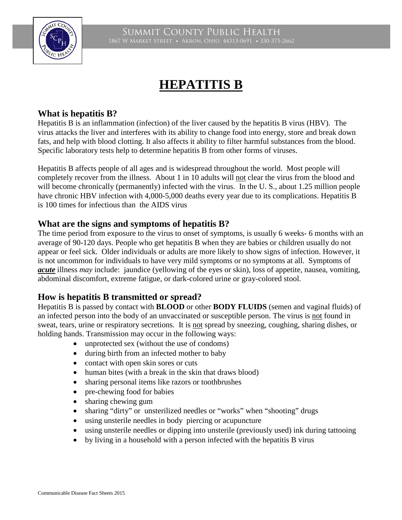

# **HEPATITIS B**

## **What is hepatitis B?**

Hepatitis B is an inflammation (infection) of the liver caused by the hepatitis B virus (HBV). The virus attacks the liver and interferes with its ability to change food into energy, store and break down fats, and help with blood clotting. It also affects it ability to filter harmful substances from the blood. Specific laboratory tests help to determine hepatitis B from other forms of viruses.

Hepatitis B affects people of all ages and is widespread throughout the world. Most people will completely recover from the illness. About 1 in 10 adults will not clear the virus from the blood and will become chronically (permanently) infected with the virus. In the U.S., about 1.25 million people have chronic HBV infection with 4,000-5,000 deaths every year due to its complications. Hepatitis B is 100 times for infectious than the AIDS virus

## **What are the signs and symptoms of hepatitis B?**

The time period from exposure to the virus to onset of symptoms, is usually 6 weeks- 6 months with an average of 90-120 days. People who get hepatitis B when they are babies or children usually do not appear or feel sick. Older individuals or adults are more likely to show signs of infection. However, it is not uncommon for individuals to have very mild symptoms or no symptoms at all. Symptoms of *acute* illness *may* include: jaundice (yellowing of the eyes or skin), loss of appetite, nausea, vomiting, abdominal discomfort, extreme fatigue, or dark-colored urine or gray-colored stool.

## **How is hepatitis B transmitted or spread?**

Hepatitis B is passed by contact with **BLOOD** or other **BODY FLUIDS** (semen and vaginal fluids) of an infected person into the body of an unvaccinated or susceptible person. The virus is not found in sweat, tears, urine or respiratory secretions. It is not spread by sneezing, coughing, sharing dishes, or holding hands. Transmission may occur in the following ways:

- unprotected sex (without the use of condoms)
- during birth from an infected mother to baby
- contact with open skin sores or cuts
- human bites (with a break in the skin that draws blood)
- sharing personal items like razors or toothbrushes
- pre-chewing food for babies
- sharing chewing gum
- sharing "dirty" or unsterilized needles or "works" when "shooting" drugs
- using unsterile needles in body piercing or acupuncture
- using unsterile needles or dipping into unsterile (previously used) ink during tattooing
- by living in a household with a person infected with the hepatitis B virus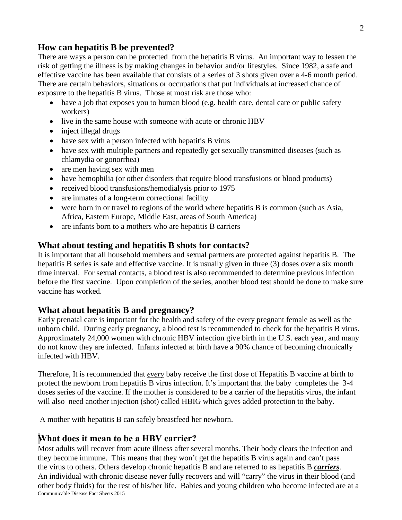#### **How can hepatitis B be prevented?**

There are ways a person can be protected from the hepatitis B virus. An important way to lessen the risk of getting the illness is by making changes in behavior and/or lifestyles. Since 1982, a safe and effective vaccine has been available that consists of a series of 3 shots given over a 4-6 month period. There are certain behaviors, situations or occupations that put individuals at increased chance of exposure to the hepatitis B virus. Those at most risk are those who:

- have a job that exposes you to human blood (e.g. health care, dental care or public safety workers)
- live in the same house with someone with acute or chronic HBV
- inject illegal drugs
- have sex with a person infected with hepatitis B virus
- have sex with multiple partners and repeatedly get sexually transmitted diseases (such as chlamydia or gonorrhea)
- are men having sex with men
- have hemophilia (or other disorders that require blood transfusions or blood products)
- received blood transfusions/hemodialysis prior to 1975
- are inmates of a long-term correctional facility
- were born in or travel to regions of the world where hepatitis B is common (such as Asia, Africa, Eastern Europe, Middle East, areas of South America)
- are infants born to a mothers who are hepatitis B carriers

## **What about testing and hepatitis B shots for contacts?**

It is important that all household members and sexual partners are protected against hepatitis B. The hepatitis B series is safe and effective vaccine. It is usually given in three (3) doses over a six month time interval. For sexual contacts, a blood test is also recommended to determine previous infection before the first vaccine. Upon completion of the series, another blood test should be done to make sure vaccine has worked.

## **What about hepatitis B and pregnancy?**

Early prenatal care is important for the health and safety of the every pregnant female as well as the unborn child. During early pregnancy, a blood test is recommended to check for the hepatitis B virus. Approximately 24,000 women with chronic HBV infection give birth in the U.S. each year, and many do not know they are infected. Infants infected at birth have a 90% chance of becoming chronically infected with HBV.

Therefore, It is recommended that *every* baby receive the first dose of Hepatitis B vaccine at birth to protect the newborn from hepatitis B virus infection. It's important that the baby completes the 3-4 doses series of the vaccine. If the mother is considered to be a carrier of the hepatitis virus, the infant will also need another injection (shot) called HBIG which gives added protection to the baby.

A mother with hepatitis B can safely breastfeed her newborn.

## **What does it mean to be a HBV carrier?**

Most adults will recover from acute illness after several months. Their body clears the infection and they become immune. This means that they won't get the hepatitis B virus again and can't pass the virus to others. Others develop chronic hepatitis B and are referred to as hepatitis B *carriers*. An individual with chronic disease never fully recovers and will "carry" the virus in their blood (and other body fluids) for the rest of his/her life. Babies and young children who become infected are at a Communicable Disease Fact Sheets 2015